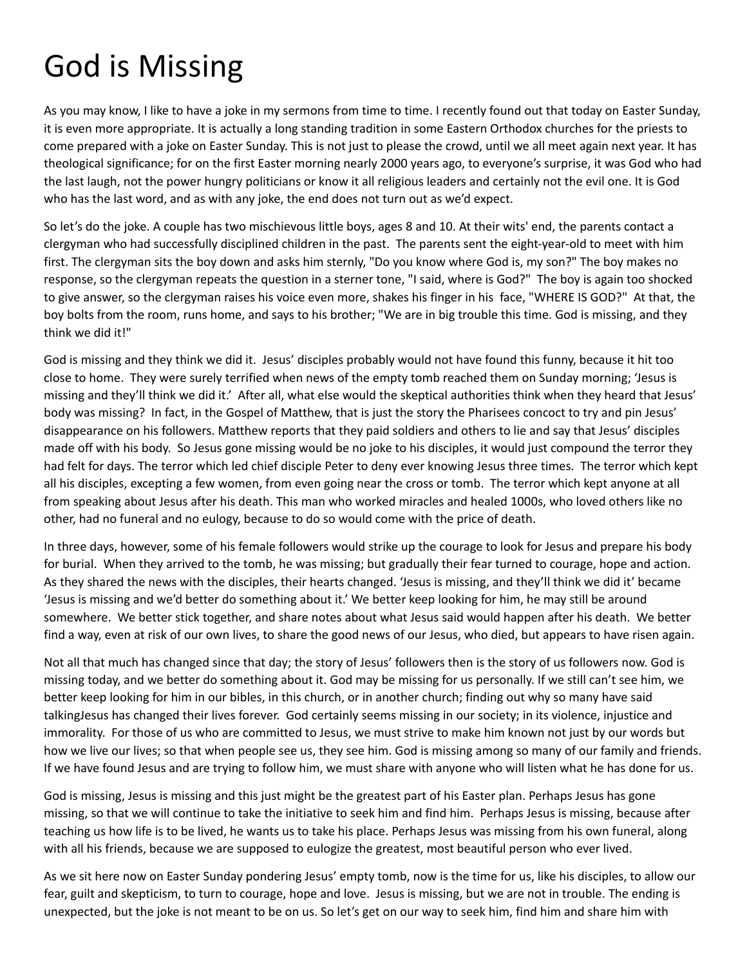## God is Missing

As you may know, I like to have a joke in my sermons from time to time. I recently found out that today on Easter Sunday, it is even more appropriate. It is actually a long standing tradition in some Eastern Orthodox churches for the priests to come prepared with a joke on Easter Sunday. This is not just to please the crowd, until we all meet again next year. It has theological significance; for on the first Easter morning nearly 2000 years ago, to everyone's surprise, it was God who had the last laugh, not the power hungry politicians or know it all religious leaders and certainly not the evil one. It is God who has the last word, and as with any joke, the end does not turn out as we'd expect.

So let's do the joke. A couple has two mischievous little boys, ages 8 and 10. At their wits' end, the parents contact a clergyman who had successfully disciplined children in the past. The parents sent the eight-year-old to meet with him first. The clergyman sits the boy down and asks him sternly, "Do you know where God is, my son?" The boy makes no response, so the clergyman repeats the question in a sterner tone, "I said, where is God?" The boy is again too shocked to give answer, so the clergyman raises his voice even more, shakes his finger in his face, "WHERE IS GOD?" At that, the boy bolts from the room, runs home, and says to his brother; "We are in big trouble this time. God is missing, and they think we did it!"

God is missing and they think we did it. Jesus' disciples probably would not have found this funny, because it hit too close to home. They were surely terrified when news of the empty tomb reached them on Sunday morning; 'Jesus is missing and they'll think we did it.' After all, what else would the skeptical authorities think when they heard that Jesus' body was missing? In fact, in the Gospel of Matthew, that is just the story the Pharisees concoct to try and pin Jesus' disappearance on his followers. Matthew reports that they paid soldiers and others to lie and say that Jesus' disciples made off with his body. So Jesus gone missing would be no joke to his disciples, it would just compound the terror they had felt for days. The terror which led chief disciple Peter to deny ever knowing Jesus three times. The terror which kept all his disciples, excepting a few women, from even going near the cross or tomb. The terror which kept anyone at all from speaking about Jesus after his death. This man who worked miracles and healed 1000s, who loved others like no other, had no funeral and no eulogy, because to do so would come with the price of death.

In three days, however, some of his female followers would strike up the courage to look for Jesus and prepare his body for burial. When they arrived to the tomb, he was missing; but gradually their fear turned to courage, hope and action. As they shared the news with the disciples, their hearts changed. 'Jesus is missing, and they'll think we did it' became 'Jesus is missing and we'd better do something about it.' We better keep looking for him, he may still be around somewhere. We better stick together, and share notes about what Jesus said would happen after his death. We better find a way, even at risk of our own lives, to share the good news of our Jesus, who died, but appears to have risen again.

Not all that much has changed since that day; the story of Jesus' followers then is the story of us followers now. God is missing today, and we better do something about it. God may be missing for us personally. If we still can't see him, we better keep looking for him in our bibles, in this church, or in another church; finding out why so many have said talkingJesus has changed their lives forever. God certainly seems missing in our society; in its violence, injustice and immorality. For those of us who are committed to Jesus, we must strive to make him known not just by our words but how we live our lives; so that when people see us, they see him. God is missing among so many of our family and friends. If we have found Jesus and are trying to follow him, we must share with anyone who will listen what he has done for us.

God is missing, Jesus is missing and this just might be the greatest part of his Easter plan. Perhaps Jesus has gone missing, so that we will continue to take the initiative to seek him and find him. Perhaps Jesus is missing, because after teaching us how life is to be lived, he wants us to take his place. Perhaps Jesus was missing from his own funeral, along with all his friends, because we are supposed to eulogize the greatest, most beautiful person who ever lived.

As we sit here now on Easter Sunday pondering Jesus' empty tomb, now is the time for us, like his disciples, to allow our fear, guilt and skepticism, to turn to courage, hope and love. Jesus is missing, but we are not in trouble. The ending is unexpected, but the joke is not meant to be on us. So let's get on our way to seek him, find him and share him with